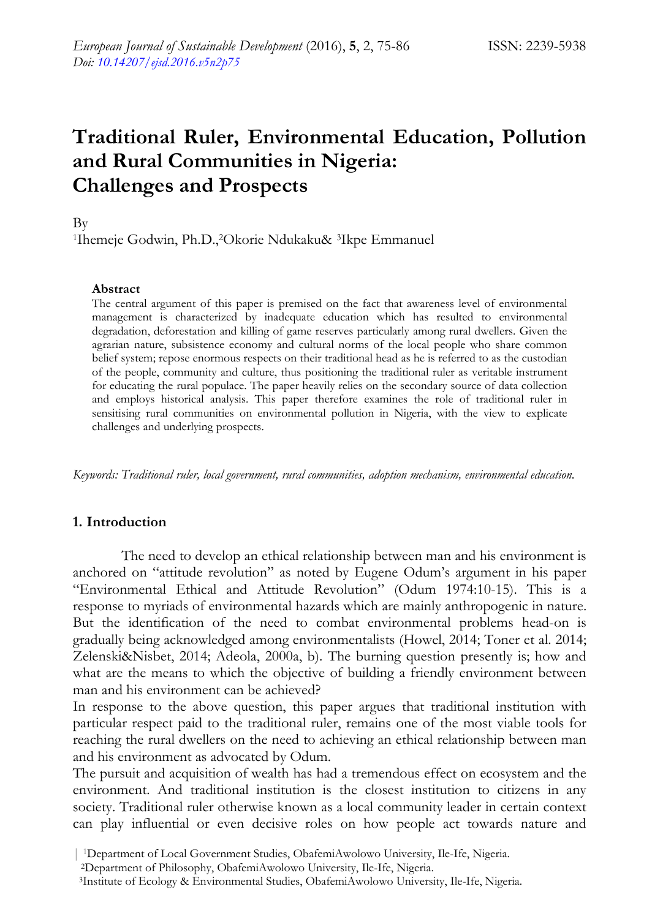# **Traditional Ruler, Environmental Education, Pollution and Rural Communities in Nigeria: Challenges and Prospects**

By

<sup>1</sup>Ihemeje Godwin, Ph.D.,<sup>2</sup>Okorie Ndukaku& <sup>3</sup>Ikpe Emmanuel

#### **Abstract**

The central argument of this paper is premised on the fact that awareness level of environmental management is characterized by inadequate education which has resulted to environmental degradation, deforestation and killing of game reserves particularly among rural dwellers. Given the agrarian nature, subsistence economy and cultural norms of the local people who share common belief system; repose enormous respects on their traditional head as he is referred to as the custodian of the people, community and culture, thus positioning the traditional ruler as veritable instrument for educating the rural populace. The paper heavily relies on the secondary source of data collection and employs historical analysis. This paper therefore examines the role of traditional ruler in sensitising rural communities on environmental pollution in Nigeria, with the view to explicate challenges and underlying prospects.

*Keywords: Traditional ruler, local government, rural communities, adoption mechanism, environmental education.* 

#### **1. Introduction**

The need to develop an ethical relationship between man and his environment is anchored on "attitude revolution" as noted by Eugene Odum's argument in his paper "Environmental Ethical and Attitude Revolution" (Odum 1974:10-15). This is a response to myriads of environmental hazards which are mainly anthropogenic in nature. But the identification of the need to combat environmental problems head-on is gradually being acknowledged among environmentalists (Howel, 2014; Toner et al. 2014; Zelenski&Nisbet, 2014; Adeola, 2000a, b). The burning question presently is; how and what are the means to which the objective of building a friendly environment between man and his environment can be achieved?

In response to the above question, this paper argues that traditional institution with particular respect paid to the traditional ruler, remains one of the most viable tools for reaching the rural dwellers on the need to achieving an ethical relationship between man and his environment as advocated by Odum.

The pursuit and acquisition of wealth has had a tremendous effect on ecosystem and the environment. And traditional institution is the closest institution to citizens in any society. Traditional ruler otherwise known as a local community leader in certain context can play influential or even decisive roles on how people act towards nature and

The The School Government Studies, ObafemiAwolowo University, Ile-Ife, Nigeria.<br>
2Department of Philosophy, ObafemiAwolowo University, Ile-Ife, Nigeria.<br>
3Institute of Ecology & Environmental Studies, ObafemiAwolowo Univer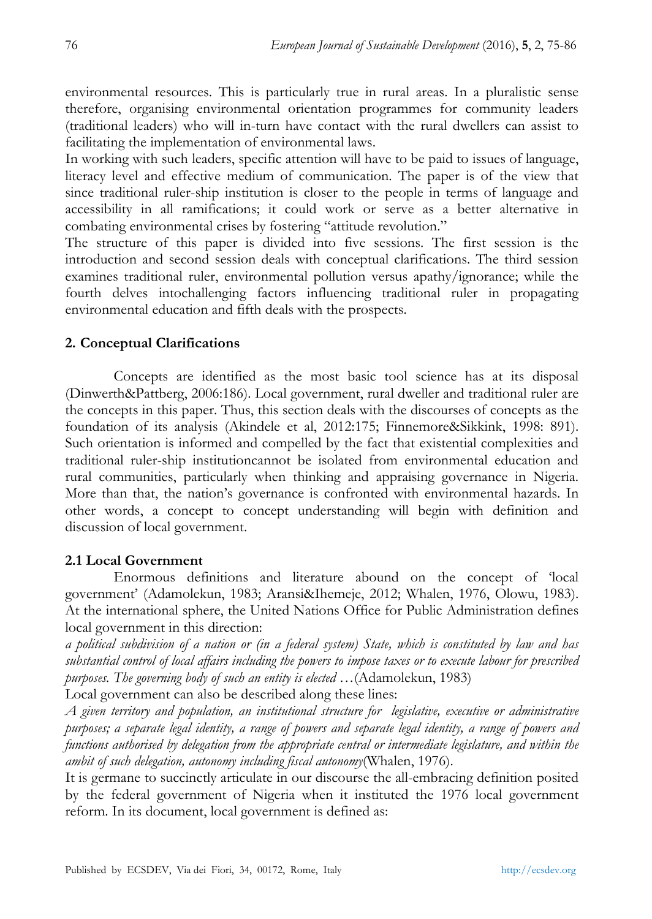environmental resources. This is particularly true in rural areas. In a pluralistic sense therefore, organising environmental orientation programmes for community leaders (traditional leaders) who will in-turn have contact with the rural dwellers can assist to facilitating the implementation of environmental laws.

In working with such leaders, specific attention will have to be paid to issues of language, literacy level and effective medium of communication. The paper is of the view that since traditional ruler-ship institution is closer to the people in terms of language and accessibility in all ramifications; it could work or serve as a better alternative in combating environmental crises by fostering "attitude revolution."

The structure of this paper is divided into five sessions. The first session is the introduction and second session deals with conceptual clarifications. The third session examines traditional ruler, environmental pollution versus apathy/ignorance; while the fourth delves intochallenging factors influencing traditional ruler in propagating environmental education and fifth deals with the prospects.

# **2. Conceptual Clarifications**

Concepts are identified as the most basic tool science has at its disposal (Dinwerth&Pattberg, 2006:186). Local government, rural dweller and traditional ruler are the concepts in this paper. Thus, this section deals with the discourses of concepts as the foundation of its analysis (Akindele et al, 2012:175; Finnemore&Sikkink, 1998: 891). Such orientation is informed and compelled by the fact that existential complexities and traditional ruler-ship institutioncannot be isolated from environmental education and rural communities, particularly when thinking and appraising governance in Nigeria. More than that, the nation's governance is confronted with environmental hazards. In other words, a concept to concept understanding will begin with definition and discussion of local government.

# **2.1 Local Government**

Enormous definitions and literature abound on the concept of 'local government' (Adamolekun, 1983; Aransi&Ihemeje, 2012; Whalen, 1976, Olowu, 1983). At the international sphere, the United Nations Office for Public Administration defines local government in this direction:

*a political subdivision of a nation or (in a federal system) State, which is constituted by law and has substantial control of local affairs including the powers to impose taxes or to execute labour for prescribed purposes. The governing body of such an entity is elected* …(Adamolekun, 1983)

Local government can also be described along these lines:

*A given territory and population, an institutional structure for legislative, executive or administrative purposes; a separate legal identity, a range of powers and separate legal identity, a range of powers and functions authorised by delegation from the appropriate central or intermediate legislature, and within the ambit of such delegation, autonomy including fiscal autonomy*(Whalen, 1976).

It is germane to succinctly articulate in our discourse the all-embracing definition posited by the federal government of Nigeria when it instituted the 1976 local government reform. In its document, local government is defined as: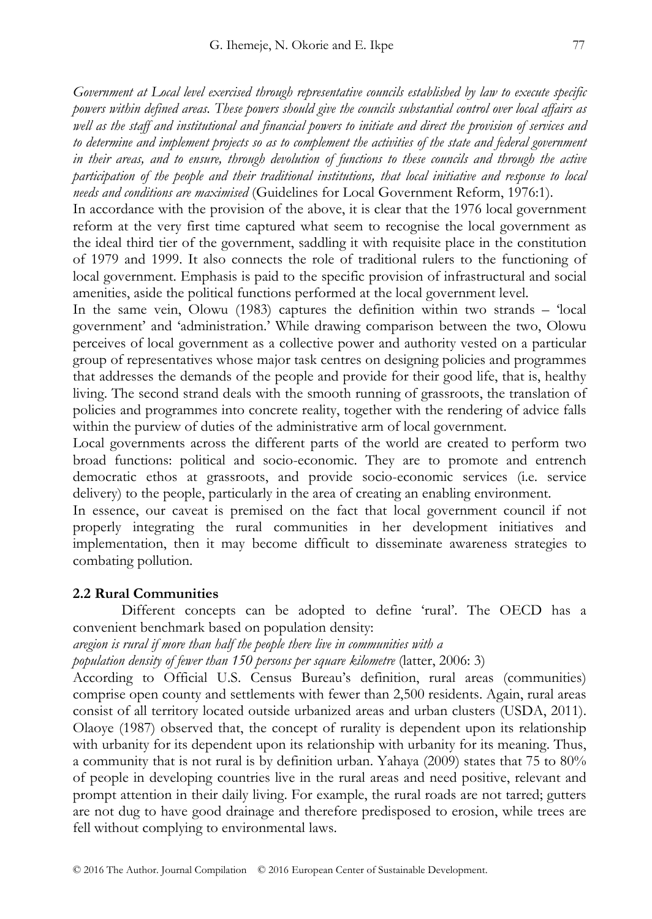*Government at Local level exercised through representative councils established by law to execute specific powers within defined areas. These powers should give the councils substantial control over local affairs as well as the staff and institutional and financial powers to initiate and direct the provision of services and to determine and implement projects so as to complement the activities of the state and federal government in their areas, and to ensure, through devolution of functions to these councils and through the active participation of the people and their traditional institutions, that local initiative and response to local needs and conditions are maximised* (Guidelines for Local Government Reform, 1976:1).

In accordance with the provision of the above, it is clear that the 1976 local government reform at the very first time captured what seem to recognise the local government as the ideal third tier of the government, saddling it with requisite place in the constitution of 1979 and 1999. It also connects the role of traditional rulers to the functioning of local government. Emphasis is paid to the specific provision of infrastructural and social amenities, aside the political functions performed at the local government level.

In the same vein, Olowu (1983) captures the definition within two strands – 'local government' and 'administration.' While drawing comparison between the two, Olowu perceives of local government as a collective power and authority vested on a particular group of representatives whose major task centres on designing policies and programmes that addresses the demands of the people and provide for their good life, that is, healthy living. The second strand deals with the smooth running of grassroots, the translation of policies and programmes into concrete reality, together with the rendering of advice falls within the purview of duties of the administrative arm of local government.

Local governments across the different parts of the world are created to perform two broad functions: political and socio-economic. They are to promote and entrench democratic ethos at grassroots, and provide socio-economic services (i.e. service delivery) to the people, particularly in the area of creating an enabling environment.

In essence, our caveat is premised on the fact that local government council if not properly integrating the rural communities in her development initiatives and implementation, then it may become difficult to disseminate awareness strategies to combating pollution.

#### **2.2 Rural Communities**

Different concepts can be adopted to define 'rural'. The OECD has a convenient benchmark based on population density:

*aregion is rural if more than half the people there live in communities with a* 

*population density of fewer than 150 persons per square kilometre* (latter, 2006: 3)

According to Official U.S. Census Bureau's definition, rural areas (communities) comprise open county and settlements with fewer than 2,500 residents. Again, rural areas consist of all territory located outside urbanized areas and urban clusters (USDA, 2011). Olaoye (1987) observed that, the concept of rurality is dependent upon its relationship with urbanity for its dependent upon its relationship with urbanity for its meaning. Thus, a community that is not rural is by definition urban. Yahaya (2009) states that 75 to 80% of people in developing countries live in the rural areas and need positive, relevant and prompt attention in their daily living. For example, the rural roads are not tarred; gutters are not dug to have good drainage and therefore predisposed to erosion, while trees are fell without complying to environmental laws.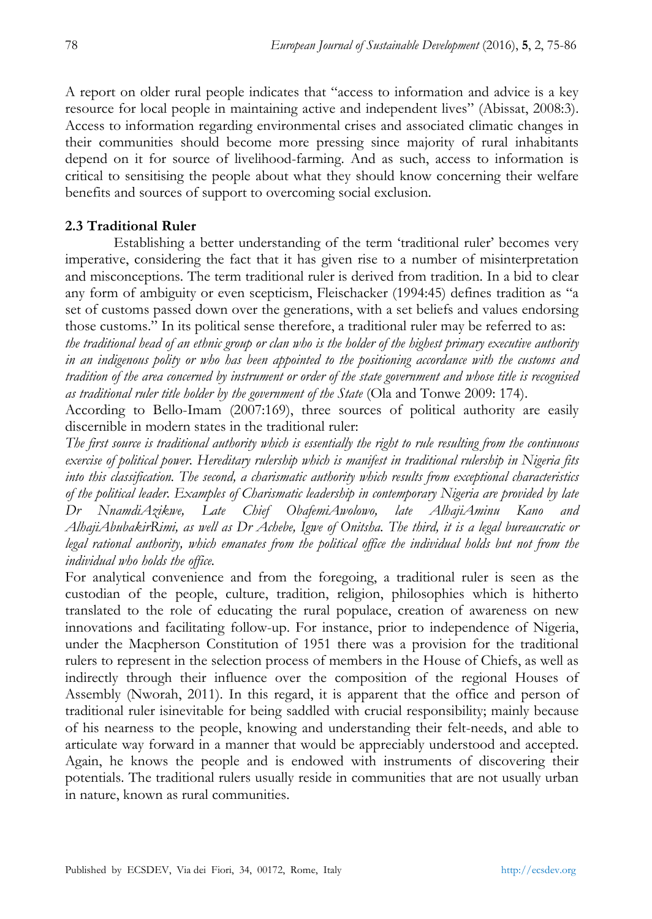A report on older rural people indicates that "access to information and advice is a key resource for local people in maintaining active and independent lives" (Abissat, 2008:3). Access to information regarding environmental crises and associated climatic changes in their communities should become more pressing since majority of rural inhabitants depend on it for source of livelihood-farming. And as such, access to information is critical to sensitising the people about what they should know concerning their welfare benefits and sources of support to overcoming social exclusion.

# **2.3 Traditional Ruler**

Establishing a better understanding of the term 'traditional ruler' becomes very imperative, considering the fact that it has given rise to a number of misinterpretation and misconceptions. The term traditional ruler is derived from tradition. In a bid to clear any form of ambiguity or even scepticism, Fleischacker (1994:45) defines tradition as "a set of customs passed down over the generations, with a set beliefs and values endorsing those customs." In its political sense therefore, a traditional ruler may be referred to as:

*the traditional head of an ethnic group or clan who is the holder of the highest primary executive authority in an indigenous polity or who has been appointed to the positioning accordance with the customs and tradition of the area concerned by instrument or order of the state government and whose title is recognised as traditional ruler title holder by the government of the State* (Ola and Tonwe 2009: 174).

According to Bello-Imam (2007:169), three sources of political authority are easily discernible in modern states in the traditional ruler:

*The first source is traditional authority which is essentially the right to rule resulting from the continuous exercise of political power. Hereditary rulership which is manifest in traditional rulership in Nigeria fits into this classification. The second, a charismatic authority which results from exceptional characteristics of the political leader. Examples of Charismatic leadership in contemporary Nigeria are provided by late Dr NnamdiAzikwe, Late Chief ObafemiAwolowo, late AlhajiAminu Kano and AlhajiAbubakirRimi, as well as Dr Achebe, Igwe of Onitsha. The third, it is a legal bureaucratic or legal rational authority, which emanates from the political office the individual holds but not from the individual who holds the office.* 

For analytical convenience and from the foregoing, a traditional ruler is seen as the custodian of the people, culture, tradition, religion, philosophies which is hitherto translated to the role of educating the rural populace, creation of awareness on new innovations and facilitating follow-up. For instance, prior to independence of Nigeria, under the Macpherson Constitution of 1951 there was a provision for the traditional rulers to represent in the selection process of members in the House of Chiefs, as well as indirectly through their influence over the composition of the regional Houses of Assembly (Nworah, 2011). In this regard, it is apparent that the office and person of traditional ruler isinevitable for being saddled with crucial responsibility; mainly because of his nearness to the people, knowing and understanding their felt-needs, and able to articulate way forward in a manner that would be appreciably understood and accepted. Again, he knows the people and is endowed with instruments of discovering their potentials. The traditional rulers usually reside in communities that are not usually urban in nature, known as rural communities.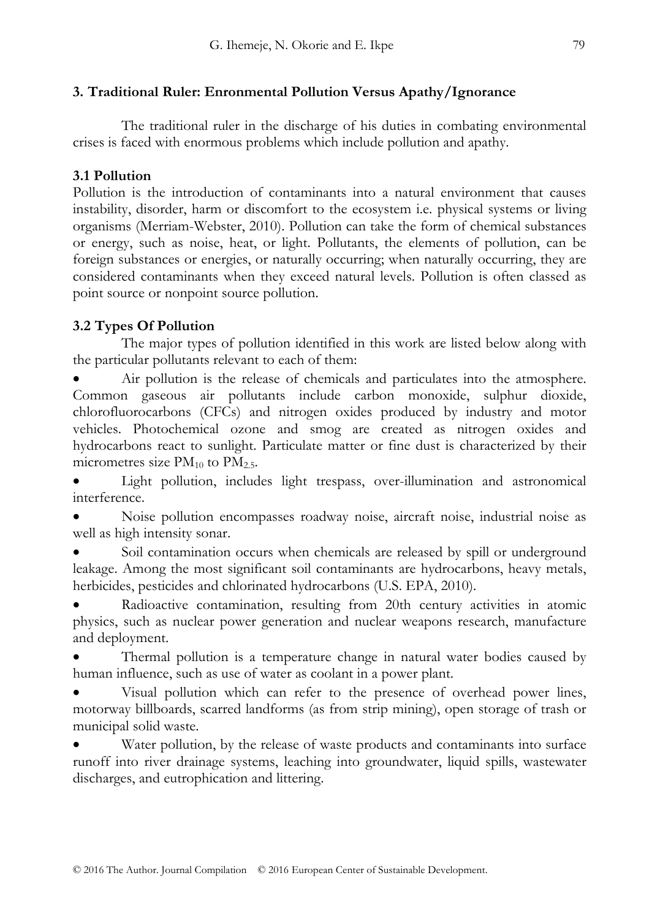## **3. Traditional Ruler: Enronmental Pollution Versus Apathy/Ignorance**

The traditional ruler in the discharge of his duties in combating environmental crises is faced with enormous problems which include pollution and apathy.

## **3.1 Pollution**

Pollution is the introduction of contaminants into a natural environment that causes instability, disorder, harm or discomfort to the ecosystem i.e. physical systems or living organisms (Merriam-Webster, 2010). Pollution can take the form of chemical substances or energy, such as noise, heat, or light. Pollutants, the elements of pollution, can be foreign substances or energies, or naturally occurring; when naturally occurring, they are considered contaminants when they exceed natural levels. Pollution is often classed as point source or nonpoint source pollution.

# **3.2 Types Of Pollution**

The major types of pollution identified in this work are listed below along with the particular pollutants relevant to each of them:

 Air pollution is the release of chemicals and particulates into the atmosphere. Common gaseous air pollutants include carbon monoxide, sulphur dioxide, chlorofluorocarbons (CFCs) and nitrogen oxides produced by industry and motor vehicles. Photochemical ozone and smog are created as nitrogen oxides and hydrocarbons react to sunlight. Particulate matter or fine dust is characterized by their micrometres size  $PM_{10}$  to  $PM_{2.5}$ .

 Light pollution, includes light trespass, over-illumination and astronomical interference.

 Noise pollution encompasses roadway noise, aircraft noise, industrial noise as well as high intensity sonar.

 Soil contamination occurs when chemicals are released by spill or underground leakage. Among the most significant soil contaminants are hydrocarbons, heavy metals, herbicides, pesticides and chlorinated hydrocarbons (U.S. EPA, 2010).

 Radioactive contamination, resulting from 20th century activities in atomic physics, such as nuclear power generation and nuclear weapons research, manufacture and deployment.

 Thermal pollution is a temperature change in natural water bodies caused by human influence, such as use of water as coolant in a power plant.

 Visual pollution which can refer to the presence of overhead power lines, motorway billboards, scarred landforms (as from strip mining), open storage of trash or municipal solid waste.

 Water pollution, by the release of waste products and contaminants into surface runoff into river drainage systems, leaching into groundwater, liquid spills, wastewater discharges, and eutrophication and littering.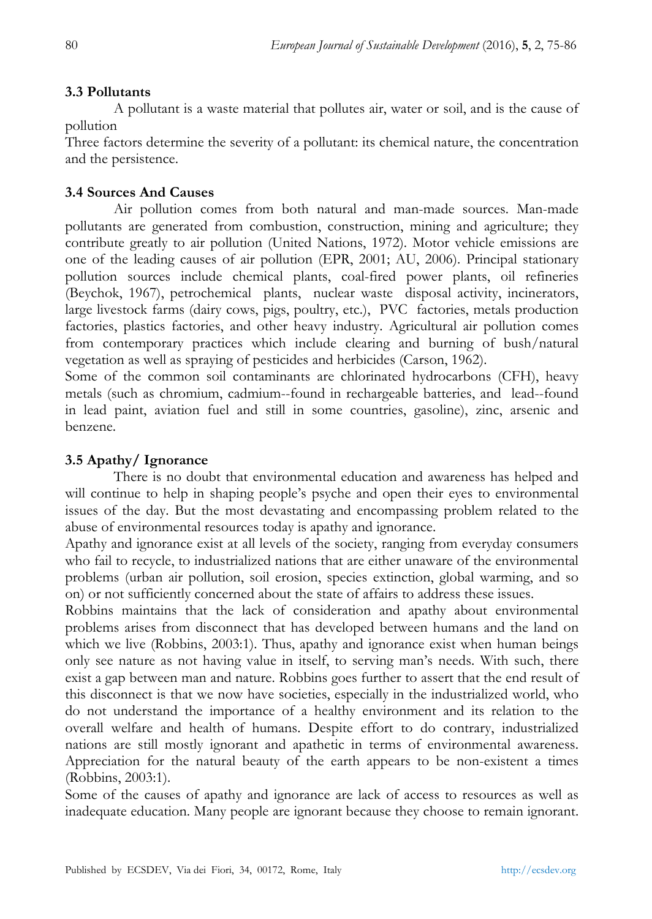## **3.3 Pollutants**

A pollutant is a waste material that pollutes air, water or soil, and is the cause of pollution

Three factors determine the severity of a pollutant: its chemical nature, the concentration and the persistence.

#### **3.4 Sources And Causes**

Air pollution comes from both natural and man-made sources. Man-made pollutants are generated from combustion, construction, mining and agriculture; they contribute greatly to air pollution (United Nations, 1972). Motor vehicle emissions are one of the leading causes of air pollution (EPR, 2001; AU, 2006). Principal stationary pollution sources include chemical plants, coal-fired power plants, oil refineries (Beychok, 1967), petrochemical plants, nuclear waste disposal activity, incinerators, large livestock farms (dairy cows, pigs, poultry, etc.), PVC factories, metals production factories, plastics factories, and other heavy industry. Agricultural air pollution comes from contemporary practices which include clearing and burning of bush/natural vegetation as well as spraying of pesticides and herbicides (Carson, 1962).

Some of the common soil contaminants are chlorinated hydrocarbons (CFH), heavy metals (such as chromium, cadmium--found in rechargeable batteries, and lead--found in lead paint, aviation fuel and still in some countries, gasoline), zinc, arsenic and benzene.

#### **3.5 Apathy/ Ignorance**

There is no doubt that environmental education and awareness has helped and will continue to help in shaping people's psyche and open their eyes to environmental issues of the day. But the most devastating and encompassing problem related to the abuse of environmental resources today is apathy and ignorance.

Apathy and ignorance exist at all levels of the society, ranging from everyday consumers who fail to recycle, to industrialized nations that are either unaware of the environmental problems (urban air pollution, soil erosion, species extinction, global warming, and so on) or not sufficiently concerned about the state of affairs to address these issues.

Robbins maintains that the lack of consideration and apathy about environmental problems arises from disconnect that has developed between humans and the land on which we live (Robbins, 2003:1). Thus, apathy and ignorance exist when human beings only see nature as not having value in itself, to serving man's needs. With such, there exist a gap between man and nature. Robbins goes further to assert that the end result of this disconnect is that we now have societies, especially in the industrialized world, who do not understand the importance of a healthy environment and its relation to the overall welfare and health of humans. Despite effort to do contrary, industrialized nations are still mostly ignorant and apathetic in terms of environmental awareness. Appreciation for the natural beauty of the earth appears to be non-existent a times (Robbins, 2003:1).

Some of the causes of apathy and ignorance are lack of access to resources as well as inadequate education. Many people are ignorant because they choose to remain ignorant.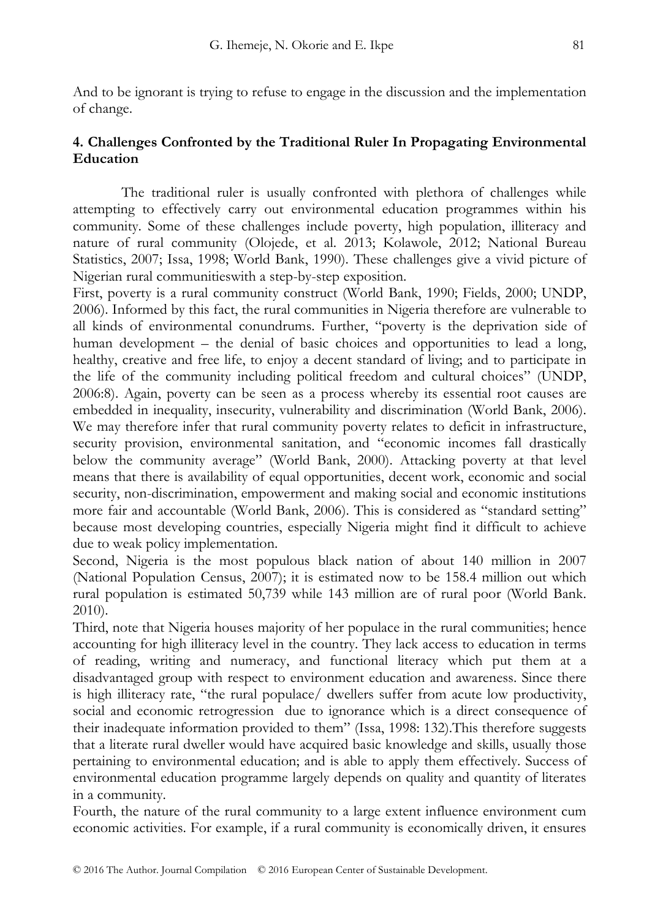And to be ignorant is trying to refuse to engage in the discussion and the implementation of change.

# **4. Challenges Confronted by the Traditional Ruler In Propagating Environmental Education**

The traditional ruler is usually confronted with plethora of challenges while attempting to effectively carry out environmental education programmes within his community. Some of these challenges include poverty, high population, illiteracy and nature of rural community (Olojede, et al. 2013; Kolawole, 2012; National Bureau Statistics, 2007; Issa, 1998; World Bank, 1990). These challenges give a vivid picture of Nigerian rural communitieswith a step-by-step exposition.

First, poverty is a rural community construct (World Bank, 1990; Fields, 2000; UNDP, 2006). Informed by this fact, the rural communities in Nigeria therefore are vulnerable to all kinds of environmental conundrums. Further, "poverty is the deprivation side of human development – the denial of basic choices and opportunities to lead a long, healthy, creative and free life, to enjoy a decent standard of living; and to participate in the life of the community including political freedom and cultural choices" (UNDP, 2006:8). Again, poverty can be seen as a process whereby its essential root causes are embedded in inequality, insecurity, vulnerability and discrimination (World Bank, 2006). We may therefore infer that rural community poverty relates to deficit in infrastructure, security provision, environmental sanitation, and "economic incomes fall drastically below the community average" (World Bank, 2000). Attacking poverty at that level means that there is availability of equal opportunities, decent work, economic and social security, non-discrimination, empowerment and making social and economic institutions more fair and accountable (World Bank, 2006). This is considered as "standard setting" because most developing countries, especially Nigeria might find it difficult to achieve due to weak policy implementation.

Second, Nigeria is the most populous black nation of about 140 million in 2007 (National Population Census, 2007); it is estimated now to be 158.4 million out which rural population is estimated 50,739 while 143 million are of rural poor (World Bank. 2010).

Third, note that Nigeria houses majority of her populace in the rural communities; hence accounting for high illiteracy level in the country. They lack access to education in terms of reading, writing and numeracy, and functional literacy which put them at a disadvantaged group with respect to environment education and awareness. Since there is high illiteracy rate, "the rural populace/ dwellers suffer from acute low productivity, social and economic retrogression due to ignorance which is a direct consequence of their inadequate information provided to them" (Issa, 1998: 132).This therefore suggests that a literate rural dweller would have acquired basic knowledge and skills, usually those pertaining to environmental education; and is able to apply them effectively. Success of environmental education programme largely depends on quality and quantity of literates in a community.

Fourth, the nature of the rural community to a large extent influence environment cum economic activities. For example, if a rural community is economically driven, it ensures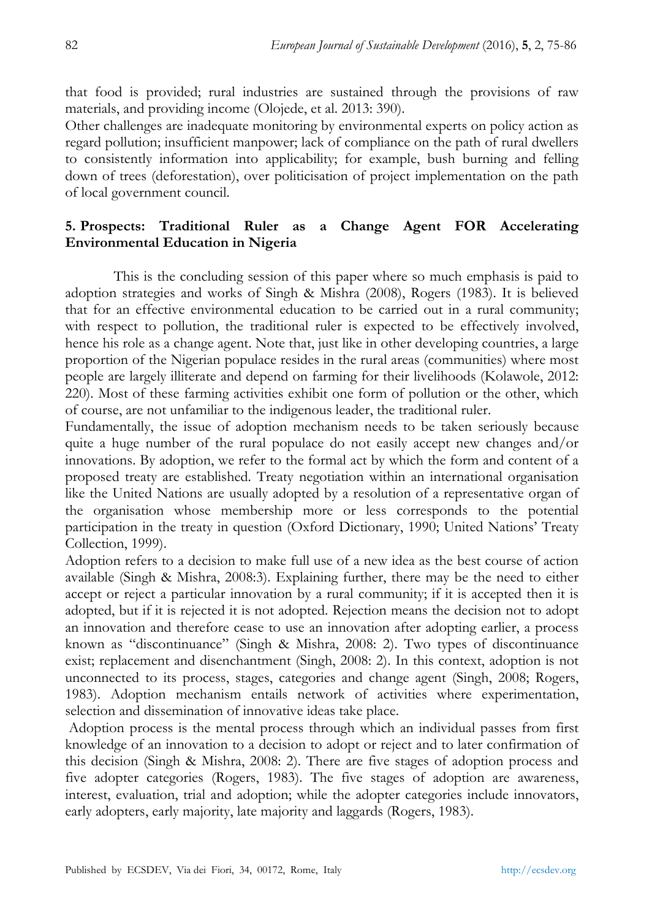that food is provided; rural industries are sustained through the provisions of raw materials, and providing income (Olojede, et al. 2013: 390).

Other challenges are inadequate monitoring by environmental experts on policy action as regard pollution; insufficient manpower; lack of compliance on the path of rural dwellers to consistently information into applicability; for example, bush burning and felling down of trees (deforestation), over politicisation of project implementation on the path of local government council.

# **5. Prospects: Traditional Ruler as a Change Agent FOR Accelerating Environmental Education in Nigeria**

This is the concluding session of this paper where so much emphasis is paid to adoption strategies and works of Singh & Mishra (2008), Rogers (1983). It is believed that for an effective environmental education to be carried out in a rural community; with respect to pollution, the traditional ruler is expected to be effectively involved, hence his role as a change agent. Note that, just like in other developing countries, a large proportion of the Nigerian populace resides in the rural areas (communities) where most people are largely illiterate and depend on farming for their livelihoods (Kolawole, 2012: 220). Most of these farming activities exhibit one form of pollution or the other, which of course, are not unfamiliar to the indigenous leader, the traditional ruler.

Fundamentally, the issue of adoption mechanism needs to be taken seriously because quite a huge number of the rural populace do not easily accept new changes and/or innovations. By adoption, we refer to the formal act by which the form and content of a proposed treaty are established. Treaty negotiation within an international organisation like the United Nations are usually adopted by a resolution of a representative organ of the organisation whose membership more or less corresponds to the potential participation in the treaty in question (Oxford Dictionary, 1990; United Nations' Treaty Collection, 1999).

Adoption refers to a decision to make full use of a new idea as the best course of action available (Singh & Mishra, 2008:3). Explaining further, there may be the need to either accept or reject a particular innovation by a rural community; if it is accepted then it is adopted, but if it is rejected it is not adopted. Rejection means the decision not to adopt an innovation and therefore cease to use an innovation after adopting earlier, a process known as "discontinuance" (Singh & Mishra, 2008: 2). Two types of discontinuance exist; replacement and disenchantment (Singh, 2008: 2). In this context, adoption is not unconnected to its process, stages, categories and change agent (Singh, 2008; Rogers, 1983). Adoption mechanism entails network of activities where experimentation, selection and dissemination of innovative ideas take place.

 Adoption process is the mental process through which an individual passes from first knowledge of an innovation to a decision to adopt or reject and to later confirmation of this decision (Singh & Mishra, 2008: 2). There are five stages of adoption process and five adopter categories (Rogers, 1983). The five stages of adoption are awareness, interest, evaluation, trial and adoption; while the adopter categories include innovators, early adopters, early majority, late majority and laggards (Rogers, 1983).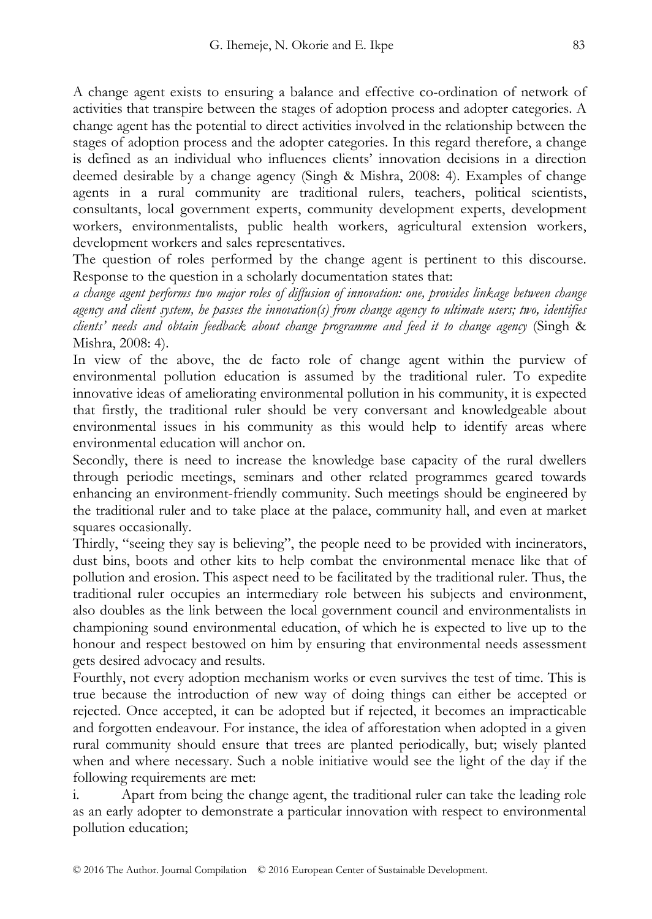A change agent exists to ensuring a balance and effective co-ordination of network of activities that transpire between the stages of adoption process and adopter categories. A change agent has the potential to direct activities involved in the relationship between the stages of adoption process and the adopter categories. In this regard therefore, a change is defined as an individual who influences clients' innovation decisions in a direction deemed desirable by a change agency (Singh & Mishra, 2008: 4). Examples of change agents in a rural community are traditional rulers, teachers, political scientists, consultants, local government experts, community development experts, development workers, environmentalists, public health workers, agricultural extension workers, development workers and sales representatives.

The question of roles performed by the change agent is pertinent to this discourse. Response to the question in a scholarly documentation states that:

*a change agent performs two major roles of diffusion of innovation: one, provides linkage between change agency and client system, he passes the innovation(s) from change agency to ultimate users; two, identifies clients' needs and obtain feedback about change programme and feed it to change agency* (Singh & Mishra, 2008: 4).

In view of the above, the de facto role of change agent within the purview of environmental pollution education is assumed by the traditional ruler. To expedite innovative ideas of ameliorating environmental pollution in his community, it is expected that firstly, the traditional ruler should be very conversant and knowledgeable about environmental issues in his community as this would help to identify areas where environmental education will anchor on.

Secondly, there is need to increase the knowledge base capacity of the rural dwellers through periodic meetings, seminars and other related programmes geared towards enhancing an environment-friendly community. Such meetings should be engineered by the traditional ruler and to take place at the palace, community hall, and even at market squares occasionally.

Thirdly, "seeing they say is believing", the people need to be provided with incinerators, dust bins, boots and other kits to help combat the environmental menace like that of pollution and erosion. This aspect need to be facilitated by the traditional ruler. Thus, the traditional ruler occupies an intermediary role between his subjects and environment, also doubles as the link between the local government council and environmentalists in championing sound environmental education, of which he is expected to live up to the honour and respect bestowed on him by ensuring that environmental needs assessment gets desired advocacy and results.

Fourthly, not every adoption mechanism works or even survives the test of time. This is true because the introduction of new way of doing things can either be accepted or rejected. Once accepted, it can be adopted but if rejected, it becomes an impracticable and forgotten endeavour. For instance, the idea of afforestation when adopted in a given rural community should ensure that trees are planted periodically, but; wisely planted when and where necessary. Such a noble initiative would see the light of the day if the following requirements are met:

i. Apart from being the change agent, the traditional ruler can take the leading role as an early adopter to demonstrate a particular innovation with respect to environmental pollution education;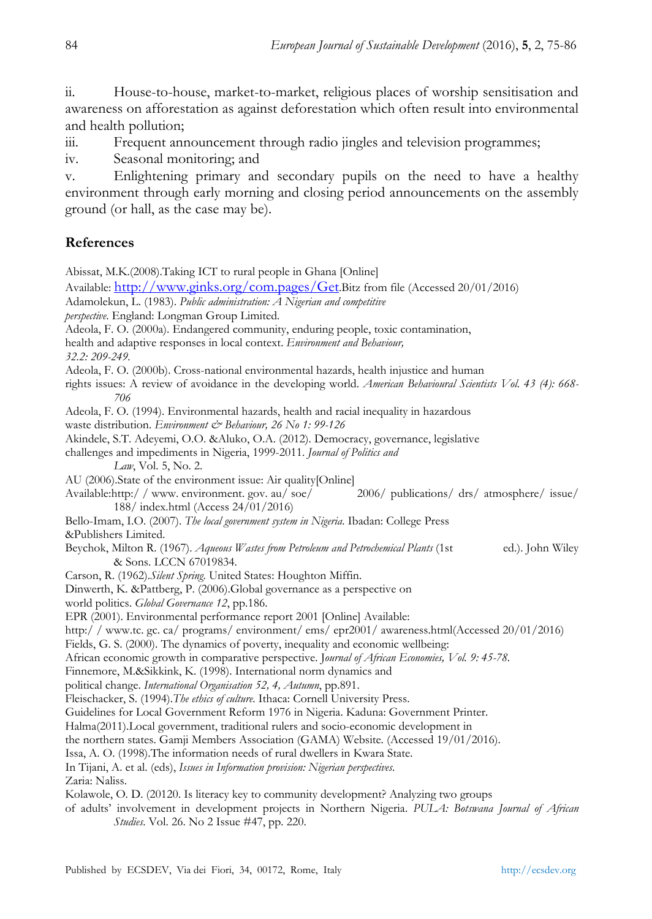ii. House-to-house, market-to-market, religious places of worship sensitisation and awareness on afforestation as against deforestation which often result into environmental and health pollution;

iii. Frequent announcement through radio jingles and television programmes;

iv. Seasonal monitoring; and

v. Enlightening primary and secondary pupils on the need to have a healthy environment through early morning and closing period announcements on the assembly ground (or hall, as the case may be).

# **References**

Abissat, M.K.(2008).Taking ICT to rural people in Ghana [Online]

Available: http://www.ginks.org/com.pages/Get.Bitz from file (Accessed 20/01/2016)

Adamolekun, L. (1983). *Public administration: A Nigerian and competitive* 

*perspective*. England: Longman Group Limited.

Adeola, F. O. (2000a). Endangered community, enduring people, toxic contamination,

health and adaptive responses in local context. *Environment and Behaviour,* 

*32.2: 209-249.* 

Adeola, F. O. (2000b). Cross-national environmental hazards, health injustice and human

rights issues: A review of avoidance in the developing world. *American Behavioural Scientists Vol. 43 (4): 668- 706* 

Adeola, F. O. (1994). Environmental hazards, health and racial inequality in hazardous

- waste distribution. *Environment & Behaviour*, 26 No 1: 99-126
- Akindele, S.T. Adeyemi, O.O. &Aluko, O.A. (2012). Democracy, governance, legislative

challenges and impediments in Nigeria, 1999-2011. *Journal of Politics and* 

 *Law*, Vol. 5, No. 2.

- AU (2006).State of the environment issue: Air quality[Online]
- Available:http:/ / www. environment. gov. au/ soe/ 2006/ publications/ drs/ atmosphere/ issue/ 188/ index.html (Access 24/01/2016)
- Bello-Imam, I.O. (2007). *The local government system in Nigeria*. Ibadan: College Press

&Publishers Limited.

Beychok, Milton R. (1967). *Aqueous Wastes from Petroleum and Petrochemical Plants* (1st ed.). John Wiley & Sons. LCCN 67019834.

Carson, R. (1962).*Silent Spring*. United States: Houghton Miffin.

Dinwerth, K. &Pattberg, P. (2006).Global governance as a perspective on

world politics. *Global Governance 12*, pp.186.

EPR (2001). Environmental performance report 2001 [Online] Available:

http:/ / www.tc. gc. ca/ programs/ environment/ ems/ epr2001/ awareness.html(Accessed 20/01/2016)

Fields, G. S. (2000). The dynamics of poverty, inequality and economic wellbeing:

African economic growth in comparative perspective. J*ournal of African Economies, Vol. 9: 45-78.*

Finnemore, M.&Sikkink, K. (1998). International norm dynamics and

political change. *International Organisation 52, 4, Autumn*, pp.891.

Fleischacker, S. (1994).*The ethics of culture.* Ithaca: Cornell University Press.

Guidelines for Local Government Reform 1976 in Nigeria. Kaduna: Government Printer.

Halma(2011).Local government, traditional rulers and socio-economic development in

the northern states. Gamji Members Association (GAMA) Website. (Accessed 19/01/2016).

Issa, A. O. (1998).The information needs of rural dwellers in Kwara State.

In Tijani, A. et al. (eds), *Issues in Information provision: Nigerian perspectives*.

Zaria: Naliss.

Kolawole, O. D. (20120. Is literacy key to community development? Analyzing two groups

of adults' involvement in development projects in Northern Nigeria. *PULA: Botswana Journal of African Studies*. Vol. 26. No 2 Issue #47, pp. 220.